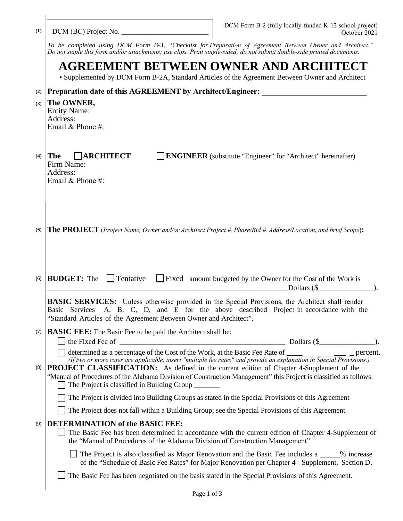| (1)                                                                                                                                                                                                                                                                                                                                                                                                                                                                                                            | DCM Form B-2 (fully locally-funded K-12 school project)<br>DCM (BC) Project No.<br>October 2021                                                                                                                                                                           |  |  |
|----------------------------------------------------------------------------------------------------------------------------------------------------------------------------------------------------------------------------------------------------------------------------------------------------------------------------------------------------------------------------------------------------------------------------------------------------------------------------------------------------------------|---------------------------------------------------------------------------------------------------------------------------------------------------------------------------------------------------------------------------------------------------------------------------|--|--|
|                                                                                                                                                                                                                                                                                                                                                                                                                                                                                                                | To be completed using DCM Form B-3, "Checklist for Preparation of Agreement Between Owner and Architect."<br>Do not staple this form and/or attachments; use clips. Print single-sided; do not submit double-side printed documents.                                      |  |  |
|                                                                                                                                                                                                                                                                                                                                                                                                                                                                                                                | AGREEMENT BETWEEN OWNER AND ARCHITECT<br>• Supplemented by DCM Form B-2A, Standard Articles of the Agreement Between Owner and Architect                                                                                                                                  |  |  |
| (2)                                                                                                                                                                                                                                                                                                                                                                                                                                                                                                            | Preparation date of this AGREEMENT by Architect/Engineer: _______________________                                                                                                                                                                                         |  |  |
| (3)                                                                                                                                                                                                                                                                                                                                                                                                                                                                                                            | The OWNER,<br><b>Entity Name:</b><br>Address:<br>Email & Phone #:                                                                                                                                                                                                         |  |  |
| (4)                                                                                                                                                                                                                                                                                                                                                                                                                                                                                                            | $\Box$ ARCHITECT<br><b>The</b><br><b>ENGINEER</b> (substitute "Engineer" for "Architect" hereinafter)<br>Firm Name:<br>Address:<br>Email & Phone #:                                                                                                                       |  |  |
| (5)                                                                                                                                                                                                                                                                                                                                                                                                                                                                                                            | The PROJECT (Project Name, Owner and/or Architect Project #, Phase/Bid #, Address/Location, and brief Scope):                                                                                                                                                             |  |  |
| (6)                                                                                                                                                                                                                                                                                                                                                                                                                                                                                                            | <b>BUDGET:</b> The<br>$\Box$ Tentative<br>Fixed amount budgeted by the Owner for the Cost of the Work is<br>Dollars $(\$<br><u> 1980 - Johann Barbara, martin amerikan basal dan berasal dalam basal dalam basal dalam basal dalam basal dala</u>                         |  |  |
|                                                                                                                                                                                                                                                                                                                                                                                                                                                                                                                | <b>BASIC SERVICES:</b> Unless otherwise provided in the Special Provisions, the Architect shall render<br>A, B, C, D, and E for the above described Project in accordance with the<br>Basic Services<br>"Standard Articles of the Agreement Between Owner and Architect". |  |  |
| (7)                                                                                                                                                                                                                                                                                                                                                                                                                                                                                                            | <b>BASIC FEE:</b> The Basic Fee to be paid the Architect shall be:                                                                                                                                                                                                        |  |  |
|                                                                                                                                                                                                                                                                                                                                                                                                                                                                                                                | Dollars (\$<br>$\Box$ the Fixed Fee of $\Box$                                                                                                                                                                                                                             |  |  |
| determined as a percentage of the Cost of the Work, at the Basic Fee Rate of ___________________ percent.<br>(If two or more rates are applicable, insert "multiple fee rates" and provide an explanation in Special Provisions.)<br><b>PROJECT CLASSIFICATION:</b> As defined in the current edition of Chapter 4-Supplement of the<br>(8)<br>"Manual of Procedures of the Alabama Division of Construction Management" this Project is classified as follows:<br>The Project is classified in Building Group |                                                                                                                                                                                                                                                                           |  |  |
|                                                                                                                                                                                                                                                                                                                                                                                                                                                                                                                | The Project is divided into Building Groups as stated in the Special Provisions of this Agreement                                                                                                                                                                         |  |  |
|                                                                                                                                                                                                                                                                                                                                                                                                                                                                                                                | The Project does not fall within a Building Group; see the Special Provisions of this Agreement                                                                                                                                                                           |  |  |
| (9)                                                                                                                                                                                                                                                                                                                                                                                                                                                                                                            | <b>DETERMINATION of the BASIC FEE:</b><br>The Basic Fee has been determined in accordance with the current edition of Chapter 4-Supplement of<br>the "Manual of Procedures of the Alabama Division of Construction Management"                                            |  |  |
|                                                                                                                                                                                                                                                                                                                                                                                                                                                                                                                | $\Box$ The Project is also classified as Major Renovation and the Basic Fee includes a _____% increase<br>of the "Schedule of Basic Fee Rates" for Major Renovation per Chapter 4 - Supplement, Section D.                                                                |  |  |
|                                                                                                                                                                                                                                                                                                                                                                                                                                                                                                                |                                                                                                                                                                                                                                                                           |  |  |
|                                                                                                                                                                                                                                                                                                                                                                                                                                                                                                                | $\Box$ The Basic Fee has been negotiated on the basis stated in the Special Provisions of this Agreement.                                                                                                                                                                 |  |  |

 $\overline{\phantom{a}}$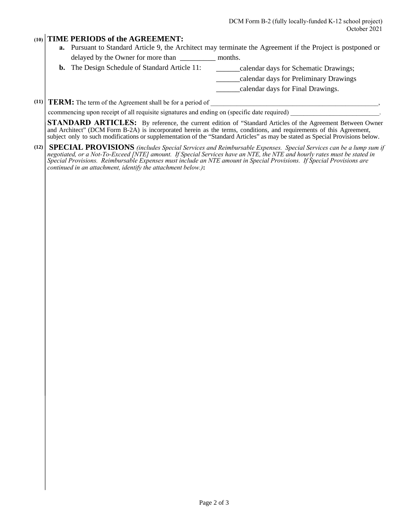## **(10) TIME PERIODS of the AGREEMENT:**

- **a.** Pursuant to Standard Article 9, the Architect may terminate the Agreement if the Project is postponed or delayed by the Owner for more than \_\_\_\_\_\_\_\_\_ months.
- **b.** The Design Schedule of Standard Article 11: \_\_\_\_\_\_\_\_\_calendar days for Schematic Drawings;

\_\_\_\_\_\_calendar days for Preliminary Drawings

\_\_\_\_\_\_calendar days for Final Drawings.

## **(11) TERM:** The term of the Agreement shall be for a period of

ccommencing upon receipt of all requisite signatures and ending on (specific date required)

**STANDARD ARTICLES:** By reference, the current edition of "Standard Articles of the Agreement Between Owner and Architect" (DCM Form B-2A) is incorporated herein as the terms, conditions, and requirements of this Agreement, subject only to such modifications or supplementation of the "Standard Articles" as may be stated as Special Provisions below.

**(12) SPECIAL PROVISIONS** *(includes Special Services and Reimbursable Expenses. Special Services can be a lump sum if negotiated, or a Not-To-Exceed [NTE] amount. If Special Services have an NTE, the NTE and hourly rates must be stated in Special Provisions. Reimbursable Expenses must include an NTE amount in Special Provisions. If Special Provisions are continued in an attachment, identify the attachment below.)***:**